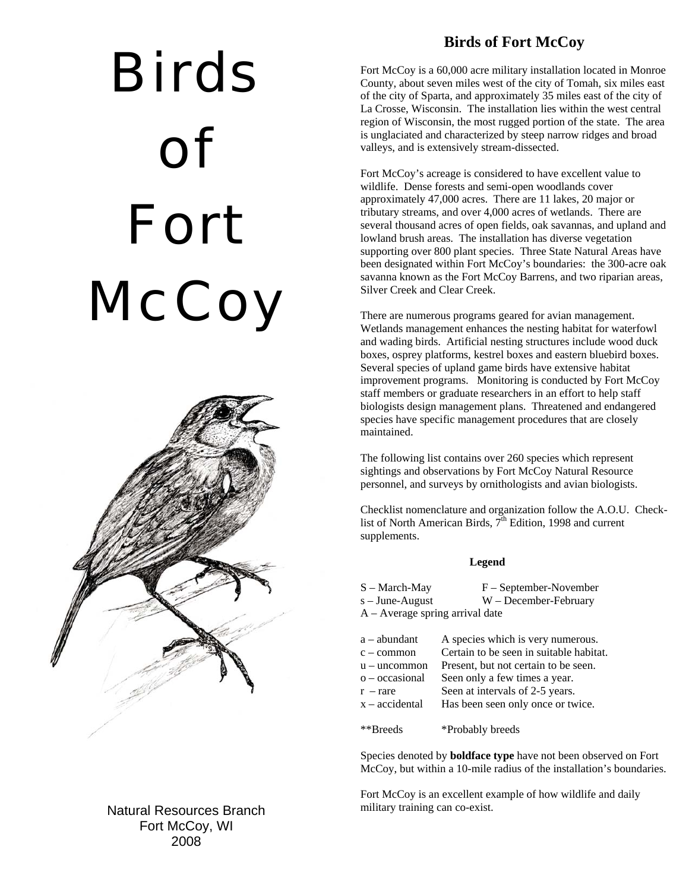## Birds of Fort **McCoy**



Natural Resources Branch Fort McCoy, WI 2008

## **Birds of Fort McCoy**

Fort McCoy is a 60,000 acre military installation located in Monroe County, about seven miles west of the city of Tomah, six miles east of the city of Sparta, and approximately 35 miles east of the city of La Crosse, Wisconsin. The installation lies within the west central region of Wisconsin, the most rugged portion of the state. The area is unglaciated and characterized by steep narrow ridges and broad valleys, and is extensively stream-dissected.

Fort McCoy's acreage is considered to have excellent value to wildlife. Dense forests and semi-open woodlands cover approximately 47,000 acres. There are 11 lakes, 20 major or tributary streams, and over 4,000 acres of wetlands. There are several thousand acres of open fields, oak savannas, and upland and lowland brush areas. The installation has diverse vegetation supporting over 800 plant species. Three State Natural Areas have been designated within Fort McCoy's boundaries: the 300-acre oak savanna known as the Fort McCoy Barrens, and two riparian areas, Silver Creek and Clear Creek.

There are numerous programs geared for avian management. Wetlands management enhances the nesting habitat for waterfowl and wading birds. Artificial nesting structures include wood duck boxes, osprey platforms, kestrel boxes and eastern bluebird boxes. Several species of upland game birds have extensive habitat improvement programs. Monitoring is conducted by Fort McCoy staff members or graduate researchers in an effort to help staff biologists design management plans. Threatened and endangered species have specific management procedures that are closely maintained.

The following list contains over 260 species which represent sightings and observations by Fort McCoy Natural Resource personnel, and surveys by ornithologists and avian biologists.

Checklist nomenclature and organization follow the A.O.U. Checklist of North American Birds,  $7<sup>th</sup>$  Edition, 1998 and current supplements.

## **Legend**

| S – March-May                     | $F - September-November$ |
|-----------------------------------|--------------------------|
| s – June-August                   | $W$ – December-February  |
| $A - Average spring arrival date$ |                          |

| a – abundant   | A species which is very numerous.       |
|----------------|-----------------------------------------|
| c – common     | Certain to be seen in suitable habitat. |
| u – uncommon   | Present, but not certain to be seen.    |
| o – occasional | Seen only a few times a year.           |
| $r - rare$     | Seen at intervals of 2-5 years.         |
| x – accidental | Has been seen only once or twice.       |
|                |                                         |

\*\*Breeds \*Probably breeds

Species denoted by **boldface type** have not been observed on Fort McCoy, but within a 10-mile radius of the installation's boundaries.

Fort McCoy is an excellent example of how wildlife and daily military training can co-exist.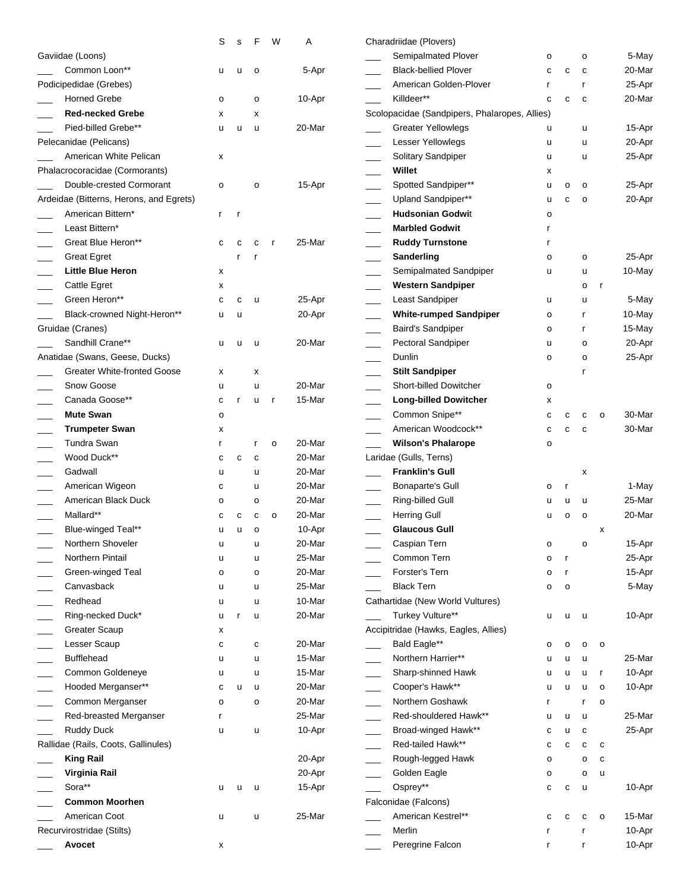|                                         | S            | ${\tt S}$    | F            | W            | Α      | Charadriidae (Plovers)                        |              |   |              |              |        |
|-----------------------------------------|--------------|--------------|--------------|--------------|--------|-----------------------------------------------|--------------|---|--------------|--------------|--------|
| Gaviidae (Loons)                        |              |              |              |              |        | Semipalmated Plover                           | о            |   | 0            |              | 5-May  |
| Common Loon**                           | u            | u            | o            |              | 5-Apr  | <b>Black-bellied Plover</b>                   | с            | C | c            |              | 20-Mar |
| Podicipedidae (Grebes)                  |              |              |              |              |        | American Golden-Plover                        |              |   | r            |              | 25-Apr |
| <b>Horned Grebe</b>                     | o            |              | $\circ$      |              | 10-Apr | Killdeer**                                    | с            | C | $\mathbf c$  |              | 20-Mar |
| <b>Red-necked Grebe</b>                 | х            |              | x            |              |        | Scolopacidae (Sandpipers, Phalaropes, Allies) |              |   |              |              |        |
| Pied-billed Grebe**                     | u            | u            | u            |              | 20-Mar | <b>Greater Yellowlegs</b>                     | u            |   | u            |              | 15-Apr |
| Pelecanidae (Pelicans)                  |              |              |              |              |        | Lesser Yellowlegs                             | u            |   | u            |              | 20-Apr |
| American White Pelican                  | x            |              |              |              |        | Solitary Sandpiper                            | u            |   | u            |              | 25-Apr |
| Phalacrocoracidae (Cormorants)          |              |              |              |              |        | Willet                                        | х            |   |              |              |        |
| Double-crested Cormorant                | o            |              | $\mathsf{o}$ |              | 15-Apr | Spotted Sandpiper**                           | u            | o | $\mathsf{o}$ |              | 25-Apr |
| Ardeidae (Bitterns, Herons, and Egrets) |              |              |              |              |        | Upland Sandpiper**                            | u            | C | o            |              | 20-Apr |
| American Bittern*                       | $\mathsf{r}$ | $\mathsf{r}$ |              |              |        | <b>Hudsonian Godwit</b>                       | о            |   |              |              |        |
| Least Bittern*                          |              |              |              |              |        | <b>Marbled Godwit</b>                         |              |   |              |              |        |
| Great Blue Heron**                      | C            | с            | C            | r            | 25-Mar | <b>Ruddy Turnstone</b>                        |              |   |              |              |        |
| <b>Great Egret</b>                      |              |              |              |              |        | Sanderling                                    | о            |   | o            |              | 25-Apr |
| <b>Little Blue Heron</b>                | х            |              |              |              |        | Semipalmated Sandpiper                        | u            |   | u            |              | 10-May |
| Cattle Egret                            | х            |              |              |              |        | <b>Western Sandpiper</b>                      |              |   | о            | r            |        |
| Green Heron**                           | $\mathbf c$  | $\mathbf c$  | u            |              | 25-Apr | Least Sandpiper                               | u            |   | u            |              | 5-May  |
| Black-crowned Night-Heron**             | u            | u            |              |              | 20-Apr | <b>White-rumped Sandpiper</b>                 | о            |   | r            |              | 10-May |
| Gruidae (Cranes)                        |              |              |              |              |        | <b>Baird's Sandpiper</b>                      | о            |   | r            |              | 15-May |
| Sandhill Crane**                        | u            | u            | u            |              | 20-Mar | Pectoral Sandpiper                            | u            |   | o            |              | 20-Apr |
| Anatidae (Swans, Geese, Ducks)          |              |              |              |              |        | Dunlin                                        | о            |   | o            |              | 25-Apr |
| <b>Greater White-fronted Goose</b>      | х            |              | x            |              |        | <b>Stilt Sandpiper</b>                        |              |   |              |              |        |
| Snow Goose                              |              |              | u            |              | 20-Mar | <b>Short-billed Dowitcher</b>                 |              |   |              |              |        |
| Canada Goose**                          | u            |              |              |              | 15-Mar |                                               | $\mathsf{o}$ |   |              |              |        |
| <b>Mute Swan</b>                        | c            |              | u            | $\mathsf{r}$ |        | <b>Long-billed Dowitcher</b>                  | х            |   |              |              | 30-Mar |
|                                         | $\circ$      |              |              |              |        | Common Snipe**                                | с            | C | c            | $\circ$      |        |
| <b>Trumpeter Swan</b>                   | х            |              |              |              |        | American Woodcock**                           | с            | C | $\mathbf c$  |              | 30-Mar |
| Tundra Swan                             | r            |              | r            | $\mathsf{o}$ | 20-Mar | <b>Wilson's Phalarope</b>                     | о            |   |              |              |        |
| Wood Duck**                             | с            | $\mathbf c$  | C            |              | 20-Mar | Laridae (Gulls, Terns)                        |              |   |              |              |        |
| Gadwall                                 | u            |              | u            |              | 20-Mar | <b>Franklin's Gull</b>                        |              |   | x            |              |        |
| American Wigeon                         | c            |              | u            |              | 20-Mar | <b>Bonaparte's Gull</b>                       | 0            |   |              |              | 1-May  |
| American Black Duck                     | o            |              | $\mathsf{o}$ |              | 20-Mar | Ring-billed Gull                              |              | u | u            |              | 25-Mar |
| Mallard**                               | c            | с            | c            | o            | 20-Mar | <b>Herring Gull</b>                           | u            | o | $\mathsf{o}$ |              | 20-Mar |
| Blue-winged Teal**                      | u            | u            | o            |              | 10-Apr | <b>Glaucous Gull</b>                          |              |   |              | X            |        |
| Northern Shoveler                       |              |              | u            |              | 20-Mar | Caspian Tern                                  |              |   |              |              | 15-Apr |
| Northern Pintail                        | u            |              | u            |              | 25-Mar | Common Tern                                   | o            | r |              |              | 25-Apr |
| Green-winged Teal                       | o            |              | o            |              | 20-Mar | Forster's Tern                                | о            | r |              |              | 15-Apr |
| Canvasback                              | u            |              | u            |              | 25-Mar | <b>Black Tern</b>                             | о            | o |              |              | 5-May  |
| Redhead                                 | u            |              | u            |              | 10-Mar | Cathartidae (New World Vultures)              |              |   |              |              |        |
| Ring-necked Duck*                       | u            | r            | u            |              | 20-Mar | Turkey Vulture**                              | u            | u | <b>u</b>     |              | 10-Apr |
| <b>Greater Scaup</b>                    | х            |              |              |              |        | Accipitridae (Hawks, Eagles, Allies)          |              |   |              |              |        |
| Lesser Scaup                            | c            |              | C            |              | 20-Mar | Bald Eagle**                                  | о            | о | о            | $\circ$      |        |
| <b>Bufflehead</b>                       | u            |              | u            |              | 15-Mar | Northern Harrier**                            | u            | u | u            |              | 25-Mar |
| Common Goldeneye                        | u            |              | u            |              | 15-Mar | Sharp-shinned Hawk                            | u            | u | u            | $\mathbf{r}$ | 10-Apr |
| Hooded Merganser**                      | с            | u            | u            |              | 20-Mar | Cooper's Hawk**                               | u            | u | u            | $\circ$      | 10-Apr |
| Common Merganser                        | o            |              | o            |              | 20-Mar | Northern Goshawk                              |              |   | r            | $\circ$      |        |
| Red-breasted Merganser                  | r            |              |              |              | 25-Mar | Red-shouldered Hawk**                         | u            | u | $\sf u$      |              | 25-Mar |
| <b>Ruddy Duck</b>                       | u            |              | u            |              | 10-Apr | Broad-winged Hawk**                           | с            | u | с            |              | 25-Apr |
| Rallidae (Rails, Coots, Gallinules)     |              |              |              |              |        | Red-tailed Hawk**                             | с            | с | С            | c            |        |
| <b>King Rail</b>                        |              |              |              |              | 20-Apr | Rough-legged Hawk                             | о            |   | o            | c            |        |
| Virginia Rail                           |              |              |              |              | 20-Apr | Golden Eagle                                  | о            |   | o            | u            |        |
| Sora**                                  | u            | u            | u            |              | 15-Apr | Osprey**                                      | с            | С | u            |              | 10-Apr |
| <b>Common Moorhen</b>                   |              |              |              |              |        | Falconidae (Falcons)                          |              |   |              |              |        |
| American Coot                           | u            |              | u            |              | 25-Mar | American Kestrel**                            |              |   | C            | $\mathsf{o}$ | 15-Mar |
| Recurvirostridae (Stilts)               |              |              |              |              |        | Merlin                                        |              |   | r            |              | 10-Apr |
| Avocet                                  | х            |              |              |              |        | Peregrine Falcon                              |              |   | r            |              | 10-Apr |
|                                         |              |              |              |              |        |                                               |              |   |              |              |        |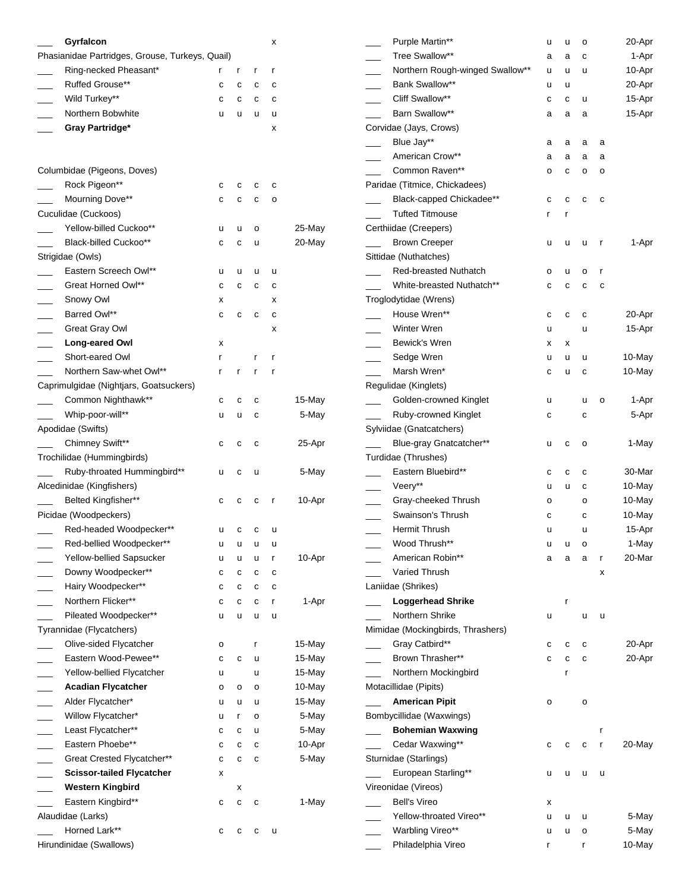|                          | Gyrfalcon                                       |   |   |   | х |           |      |
|--------------------------|-------------------------------------------------|---|---|---|---|-----------|------|
|                          | Phasianidae Partridges, Grouse, Turkeys, Quail) |   |   |   |   |           |      |
|                          | Ring-necked Pheasant*                           | r | r | r | r |           |      |
|                          | Ruffed Grouse**                                 | С | с | с | c |           |      |
|                          | Wild Turkey**                                   | с | с | с | c |           |      |
|                          | Northern Bobwhite                               | u | u | u | u |           |      |
|                          | <b>Gray Partridge*</b>                          |   |   |   | x |           | Co   |
|                          |                                                 |   |   |   |   |           |      |
|                          |                                                 |   |   |   |   |           |      |
|                          | Columbidae (Pigeons, Doves)                     |   |   |   |   |           |      |
| $\overline{\phantom{a}}$ | Rock Pigeon**                                   | с | с | c | C |           | Pa   |
|                          | Mourning Dove**                                 | с | С | с | o |           |      |
|                          | Cuculidae (Cuckoos)                             |   |   |   |   |           |      |
|                          | Yellow-billed Cuckoo**                          | u | u | o |   | 25-May    | Сe   |
|                          | Black-billed Cuckoo**                           | с | С | u |   | 20-May    |      |
|                          | Strigidae (Owls)                                |   |   |   |   |           | Sitt |
| $\overline{\phantom{a}}$ | Eastern Screech Owl**                           | u | u | u | u |           |      |
| $\overline{\phantom{a}}$ | Great Horned Owl**                              | с | с | с | с |           |      |
| $\overline{\phantom{a}}$ | Snowy Owl                                       | x |   |   | x |           | Trc  |
|                          | Barred Owl**                                    | с | c | с | c |           |      |
|                          | Great Gray Owl                                  |   |   |   | x |           |      |
|                          | Long-eared Owl                                  | x |   |   |   |           |      |
| $\overline{\phantom{a}}$ | Short-eared Owl                                 | r |   | r | r |           |      |
|                          | Northern Saw-whet Owl**                         | r | r | r | r |           |      |
|                          | Caprimulgidae (Nightjars, Goatsuckers)          |   |   |   |   |           | Re   |
| $\sim$                   | Common Nighthawk**                              | с | с | С |   | $15$ -May |      |
|                          | Whip-poor-will**                                | u | u | с |   | 5-May     |      |
|                          | Apodidae (Swifts)                               |   |   |   |   |           | Syl  |
|                          | Chimney Swift**                                 | с | с | c |   | 25-Apr    |      |
|                          | Trochilidae (Hummingbirds)                      |   |   |   |   |           | Tuı  |
|                          | Ruby-throated Hummingbird**                     | u | с | u |   | 5-May     |      |
|                          | Alcedinidae (Kingfishers)                       |   |   |   |   |           |      |
|                          | Belted Kingfisher**                             | с | с | с | r | 10-Apr    |      |
|                          | Picidae (Woodpeckers)                           |   |   |   |   |           |      |
|                          | Red-headed Woodpecker**                         | u | C | c | u |           |      |
|                          | Red-bellied Woodpecker**                        | u | u | u | u |           |      |
|                          | Yellow-bellied Sapsucker                        | u | u | u | r | 10-Apr    |      |
|                          | Downy Woodpecker**                              | с | с | с | с |           |      |
|                          | Hairy Woodpecker**                              | с | с | с | С |           | Lar  |
|                          | Northern Flicker**                              | с | С | с | r | 1-Apr     |      |
|                          | Pileated Woodpecker**                           | u | u | u | u |           |      |
|                          | Tyrannidae (Flycatchers)                        |   |   |   |   |           | Mir  |
|                          | Olive-sided Flycatcher                          | о |   | r |   | 15-May    |      |
|                          | Eastern Wood-Pewee**                            | с | с | u |   | 15-May    |      |
|                          | Yellow-bellied Flycatcher                       | u |   | u |   | 15-May    |      |
|                          | <b>Acadian Flycatcher</b>                       | о | о | о |   | 10-May    | Mo   |
| $\overline{\phantom{a}}$ | Alder Flycatcher*                               | u | u | u |   | 15-May    |      |
| $\overline{\phantom{0}}$ | Willow Flycatcher*                              | u | r | о |   | 5-May     | Bo   |
| $\overline{\phantom{0}}$ | Least Flycatcher**                              | с | С | u |   | 5-May     |      |
| $\mathcal{L}$            | Eastern Phoebe**                                | с | С | С |   | 10-Apr    |      |
|                          | Great Crested Flycatcher**                      | с | С | C |   | 5-May     | Stu  |
|                          | <b>Scissor-tailed Flycatcher</b>                | х |   |   |   |           |      |
|                          | <b>Western Kingbird</b>                         |   | х |   |   |           | Vir  |
|                          | Eastern Kingbird**                              | с | с | С |   | 1-May     |      |
|                          | Alaudidae (Larks)                               |   |   |   |   |           |      |
|                          | Horned Lark**                                   | с | C | С | u |           |      |
|                          | Hirundinidae (Swallows)                         |   |   |   |   |           |      |

| Purple Martin**                   | u | u | о |   | 20-Apr |
|-----------------------------------|---|---|---|---|--------|
| Tree Swallow**                    | a | a | C |   | 1-Apr  |
| Northern Rough-winged Swallow**   | u | u | u |   | 10-Apr |
| Bank Swallow**                    | u | u |   |   | 20-Apr |
| Cliff Swallow**                   | С | С | u |   | 15-Apr |
| Barn Swallow**                    | а | а | а |   | 15-Apr |
| Corvidae (Jays, Crows)            |   |   |   |   |        |
| Blue Jay**                        | а | а | а | а |        |
| American Crow**                   | а | а | а | а |        |
| Common Raven**                    | О | С | о | o |        |
| Paridae (Titmice, Chickadees)     |   |   |   |   |        |
| Black-capped Chickadee**          | С | С | с | с |        |
| <b>Tufted Titmouse</b>            | r | r |   |   |        |
| Certhiidae (Creepers)             |   |   |   |   |        |
| <b>Brown Creeper</b>              | u | u | u | r | 1-Apr  |
| Sittidae (Nuthatches)             |   |   |   |   |        |
| <b>Red-breasted Nuthatch</b>      | о | u | о | r |        |
| White-breasted Nuthatch**         | С | С | с | с |        |
| Troglodytidae (Wrens)             |   |   |   |   |        |
| House Wren**                      | С | с | с |   | 20-Apr |
| Winter Wren                       | u |   | u |   | 15-Apr |
| Bewick's Wren                     | x | X |   |   |        |
| Sedge Wren                        | u | u | u |   | 10-May |
| Marsh Wren*                       | с | u | с |   | 10-May |
| Regulidae (Kinglets)              |   |   |   |   |        |
| Golden-crowned Kinglet            | u |   | u | О | 1-Apr  |
| Ruby-crowned Kinglet              | C |   | С |   | 5-Apr  |
| Sylviidae (Gnatcatchers)          |   |   |   |   |        |
| Blue-gray Gnatcatcher**           | u | С | o |   | 1-May  |
| Turdidae (Thrushes)               |   |   |   |   |        |
| Eastern Bluebird**                | С | С | C |   | 30-Mar |
| Veery**                           | u | u | с |   | 10-May |
| Gray-cheeked Thrush               | о |   | о |   | 10-May |
| Swainson's Thrush                 | С |   | C |   | 10-May |
| Hermit Thrush                     | u |   | u |   | 15-Apr |
| Wood Thrush**                     | u | u | O |   | 1-May  |
| American Robin**                  | а | a | а | r | 20-Mar |
| Varied Thrush                     |   |   |   | X |        |
| Laniidae (Shrikes)                |   |   |   |   |        |
| <b>Loggerhead Shrike</b>          |   | r |   |   |        |
| Northern Shrike                   | u |   | u | u |        |
| Mimidae (Mockingbirds, Thrashers) |   |   |   |   |        |
| Gray Catbird**                    | с | C | C |   | 20-Apr |
| Brown Thrasher**                  | С | с | с |   | 20-Apr |
| Northern Mockingbird              |   | r |   |   |        |
| Motacillidae (Pipits)             |   |   |   |   |        |
| <b>American Pipit</b>             | о |   | o |   |        |
| Bombycillidae (Waxwings)          |   |   |   |   |        |
| <b>Bohemian Waxwing</b>           |   |   |   | r |        |
| Cedar Waxwing**                   | С | с | С | r | 20-May |
| Sturnidae (Starlings)             |   |   |   |   |        |
| European Starling**               | u | u | u | u |        |
| Vireonidae (Vireos)               |   |   |   |   |        |
| <b>Bell's Vireo</b>               | Х |   |   |   |        |
| Yellow-throated Vireo**           | u | u | u |   | 5-May  |
| Warbling Vireo**                  | u | u | о |   | 5-May  |
| Philadelphia Vireo                | r |   | r |   | 10-May |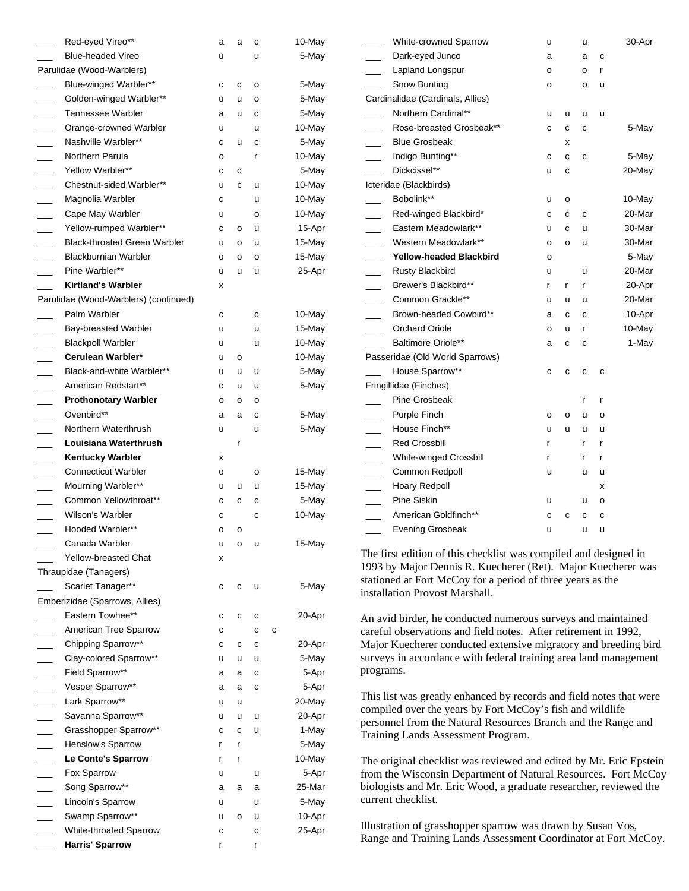|                          | Red-eyed Vireo**                      | a | a | с | 10-May    |
|--------------------------|---------------------------------------|---|---|---|-----------|
|                          | <b>Blue-headed Vireo</b>              | u |   | u | 5-May     |
|                          | Parulidae (Wood-Warblers)             |   |   |   |           |
|                          | Blue-winged Warbler**                 | с | С | o | 5-May     |
|                          | Golden-winged Warbler**               | u | u | о | 5-May     |
|                          | <b>Tennessee Warbler</b>              | а | u | С | 5-May     |
|                          | Orange-crowned Warbler                | u |   | u | 10-May    |
|                          | Nashville Warbler**                   | с | u | c | 5-May     |
| $\overline{\phantom{a}}$ | Northern Parula                       | o |   | r | 10-May    |
| $\sim$                   | Yellow Warbler**                      | с | С |   | 5-May     |
| $\overline{\phantom{0}}$ | Chestnut-sided Warbler**              | u | C | u | 10-May    |
| $\sim$                   | Magnolia Warbler                      | С |   | u | 10-May    |
|                          | Cape May Warbler                      | u |   | о | 10-May    |
|                          | Yellow-rumped Warbler**               | С | о | u | 15-Apr    |
|                          | <b>Black-throated Green Warbler</b>   | u | о | u | 15-May    |
|                          | <b>Blackburnian Warbler</b>           | o | о | o | 15-May    |
| $\overline{\phantom{a}}$ | Pine Warbler**                        | u | u | u | 25-Apr    |
|                          | <b>Kirtland's Warbler</b>             | x |   |   |           |
|                          | Parulidae (Wood-Warblers) (continued) |   |   |   |           |
|                          | Palm Warbler                          | с |   | С | 10-May    |
|                          | Bay-breasted Warbler                  | u |   | u | $15$ -May |
|                          | <b>Blackpoll Warbler</b>              | u |   | u | 10-May    |
|                          | Cerulean Warbler*                     | u | o |   | 10-May    |
|                          | Black-and-white Warbler**             | u | u | u | 5-May     |
| $\overline{\phantom{a}}$ | American Redstart**                   | С | u | u | 5-May     |
| $\sim$                   | <b>Prothonotary Warbler</b>           | o | o | о |           |
| $\overline{\phantom{0}}$ | Ovenbird**                            | a | а | С | 5-May     |
|                          | Northern Waterthrush                  | u |   | u | 5-May     |
|                          | Louisiana Waterthrush                 |   | r |   |           |
|                          | <b>Kentucky Warbler</b>               | x |   |   |           |
|                          | <b>Connecticut Warbler</b>            | о |   | o | 15-May    |
|                          | Mourning Warbler**                    | u | u | u | 15-May    |
|                          | Common Yellowthroat**                 | с | С | С | 5-May     |
|                          | Wilson's Warbler                      | С |   | С | 10-May    |
|                          | Hooded Warbler**                      | o | о |   |           |
|                          | Canada Warbler                        | u | о | u | 15-May    |
|                          | Yellow-breasted Chat                  | x |   |   |           |
|                          | Thraupidae (Tanagers)                 |   |   |   |           |
|                          | Scarlet Tanager**                     | с | С | u | 5-May     |
|                          | Emberizidae (Sparrows, Allies)        |   |   |   |           |
|                          | Eastern Towhee**                      | С | С | С | 20-Apr    |
|                          | American Tree Sparrow                 | с |   | C | С         |
| $\overline{\phantom{a}}$ | Chipping Sparrow**                    | С | С | с | 20-Apr    |
|                          | Clay-colored Sparrow**                | u | u | u | 5-May     |
|                          | Field Sparrow**                       | а | а | с | 5-Apr     |
|                          | Vesper Sparrow**                      | а | а | С | 5-Apr     |
|                          | Lark Sparrow**                        | u | u |   | 20-May    |
|                          | Savanna Sparrow**                     | u | u | u | 20-Apr    |
| $\overline{\phantom{a}}$ | Grasshopper Sparrow**                 | с | С | u | 1-May     |
| $\sim$                   | Henslow's Sparrow                     | r | r |   | 5-May     |
| $\overline{\phantom{0}}$ | Le Conte's Sparrow                    | r | r |   | 10-May    |
|                          | Fox Sparrow                           | u |   | u | 5-Apr     |
|                          | Song Sparrow**                        | а | а | а | 25-Mar    |
|                          | Lincoln's Sparrow                     | u |   | u | 5-May     |
|                          | Swamp Sparrow**                       | u | o | u | 10-Apr    |
|                          | White-throated Sparrow                | С |   | С | 25-Apr    |
|                          | <b>Harris' Sparrow</b>                | r |   | r |           |

|                          | White-crowned Sparrow            | u       |   | u |   | 30-Apr |
|--------------------------|----------------------------------|---------|---|---|---|--------|
|                          | Dark-eyed Junco                  | а       |   | а | C |        |
|                          | Lapland Longspur                 | o       |   | о | r |        |
|                          | Snow Bunting                     | o       |   | 0 | u |        |
|                          | Cardinalidae (Cardinals, Allies) |         |   |   |   |        |
|                          | Northern Cardinal**              | u       | u | u | u |        |
|                          | Rose-breasted Grosbeak**         | C       | C | C |   | 5-May  |
| $\overline{\phantom{a}}$ | <b>Blue Grosbeak</b>             |         | X |   |   |        |
| $\overline{\phantom{a}}$ | Indigo Bunting**                 | c       | С | C |   | 5-May  |
|                          | Dickcissel**                     | u       | C |   |   | 20-May |
|                          | Icteridae (Blackbirds)           |         |   |   |   |        |
|                          | Bobolink**                       | u       | о |   |   | 10-May |
|                          | Red-winged Blackbird*            | C       | с | C |   | 20-Mar |
|                          | Eastern Meadowlark**             | u       | C | u |   | 30-Mar |
|                          | Western Meadowlark**             | о       | о | u |   | 30-Mar |
|                          | <b>Yellow-headed Blackbird</b>   | o       |   |   |   | 5-May  |
|                          | <b>Rusty Blackbird</b>           | u       |   | u |   | 20-Mar |
| $\overline{\phantom{0}}$ | Brewer's Blackbird**             | r       | r | r |   | 20-Apr |
| a.                       | Common Grackle**                 | u       | u | u |   | 20-Mar |
|                          | Brown-headed Cowbird**           | a       | c | C |   | 10-Apr |
|                          | <b>Orchard Oriole</b>            | o       | u | r |   | 10-May |
|                          | <b>Baltimore Oriole**</b>        | а       | с | с |   | 1-May  |
|                          | Passeridae (Old World Sparrows)  |         |   |   |   |        |
|                          | House Sparrow**                  | C       | C | C | С |        |
|                          | Fringillidae (Finches)           |         |   |   |   |        |
|                          | Pine Grosbeak                    |         |   | r | r |        |
| $\overline{\phantom{a}}$ | Purple Finch                     | $\circ$ | o | u | O |        |
| $\overline{\phantom{a}}$ | House Finch**                    | u       | u | u | ū |        |
| $\overline{\phantom{a}}$ | <b>Red Crossbill</b>             | r       |   | r | r |        |
|                          | White-winged Crossbill           | r       |   | r | r |        |
|                          | Common Redpoll                   | u       |   | u | u |        |
|                          | <b>Hoary Redpoll</b>             |         |   |   | x |        |
| $\sim$                   | <b>Pine Siskin</b>               | u       |   | u | o |        |
|                          | American Goldfinch**             | C       | C | С | C |        |
| $\frac{1}{1}$            | <b>Evening Grosbeak</b>          | u       |   | u | u |        |
|                          |                                  |         |   |   |   |        |

The first edition of this checklist was compiled and designed in 1993 by Major Dennis R. Kuecherer (Ret). Major Kuecherer was stationed at Fort McCoy for a period of three years as the installation Provost Marshall.

An avid birder, he conducted numerous surveys and maintained careful observations and field notes. After retirement in 1992, Major Kuecherer conducted extensive migratory and breeding bird surveys in accordance with federal training area land management programs.

This list was greatly enhanced by records and field notes that were compiled over the years by Fort McCoy's fish and wildlife personnel from the Natural Resources Branch and the Range and Training Lands Assessment Program.

The original checklist was reviewed and edited by Mr. Eric Epstein from the Wisconsin Department of Natural Resources. Fort McCoy biologists and Mr. Eric Wood, a graduate researcher, reviewed the current checklist.

Illustration of grasshopper sparrow was drawn by Susan Vos, Range and Training Lands Assessment Coordinator at Fort McCoy.